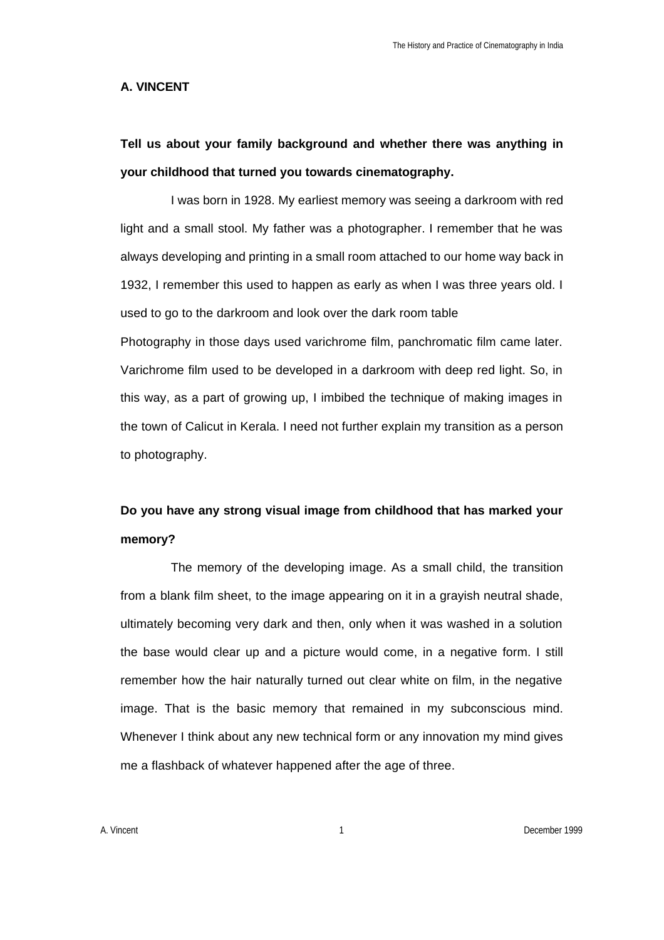### **A. VINCENT**

# **Tell us about your family background and whether there was anything in your childhood that turned you towards cinematography.**

I was born in 1928. My earliest memory was seeing a darkroom with red light and a small stool. My father was a photographer. I remember that he was always developing and printing in a small room attached to our home way back in 1932, I remember this used to happen as early as when I was three years old. I used to go to the darkroom and look over the dark room table

Photography in those days used varichrome film, panchromatic film came later. Varichrome film used to be developed in a darkroom with deep red light. So, in this way, as a part of growing up, I imbibed the technique of making images in the town of Calicut in Kerala. I need not further explain my transition as a person to photography.

## **Do you have any strong visual image from childhood that has marked your memory?**

The memory of the developing image. As a small child, the transition from a blank film sheet, to the image appearing on it in a grayish neutral shade, ultimately becoming very dark and then, only when it was washed in a solution the base would clear up and a picture would come, in a negative form. I still remember how the hair naturally turned out clear white on film, in the negative image. That is the basic memory that remained in my subconscious mind. Whenever I think about any new technical form or any innovation my mind gives me a flashback of whatever happened after the age of three.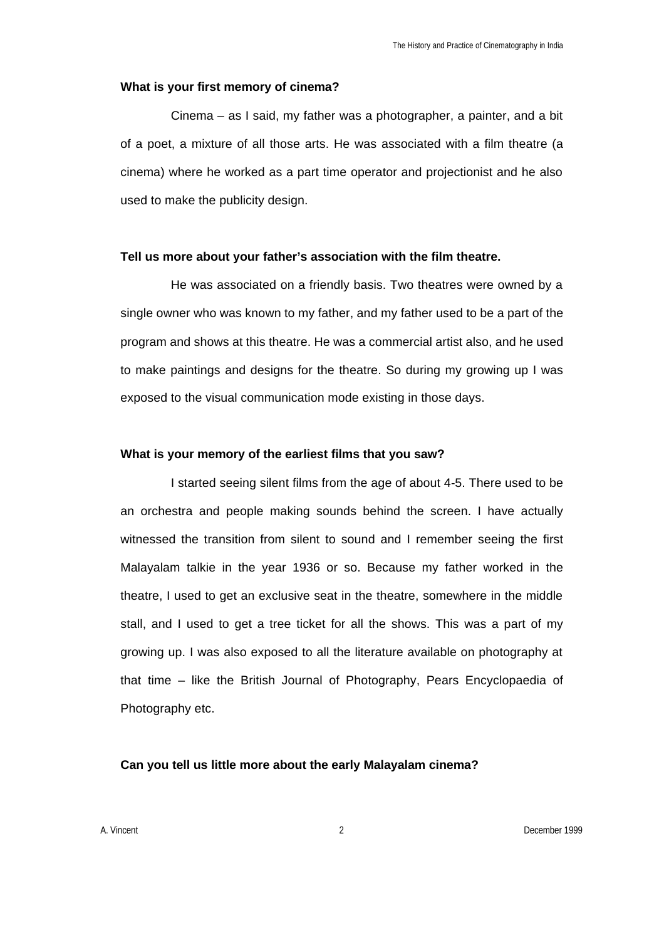#### **What is your first memory of cinema?**

Cinema – as I said, my father was a photographer, a painter, and a bit of a poet, a mixture of all those arts. He was associated with a film theatre (a cinema) where he worked as a part time operator and projectionist and he also used to make the publicity design.

#### **Tell us more about your father's association with the film theatre.**

He was associated on a friendly basis. Two theatres were owned by a single owner who was known to my father, and my father used to be a part of the program and shows at this theatre. He was a commercial artist also, and he used to make paintings and designs for the theatre. So during my growing up I was exposed to the visual communication mode existing in those days.

#### **What is your memory of the earliest films that you saw?**

I started seeing silent films from the age of about 4-5. There used to be an orchestra and people making sounds behind the screen. I have actually witnessed the transition from silent to sound and I remember seeing the first Malayalam talkie in the year 1936 or so. Because my father worked in the theatre, I used to get an exclusive seat in the theatre, somewhere in the middle stall, and I used to get a tree ticket for all the shows. This was a part of my growing up. I was also exposed to all the literature available on photography at that time – like the British Journal of Photography, Pears Encyclopaedia of Photography etc.

### **Can you tell us little more about the early Malayalam cinema?**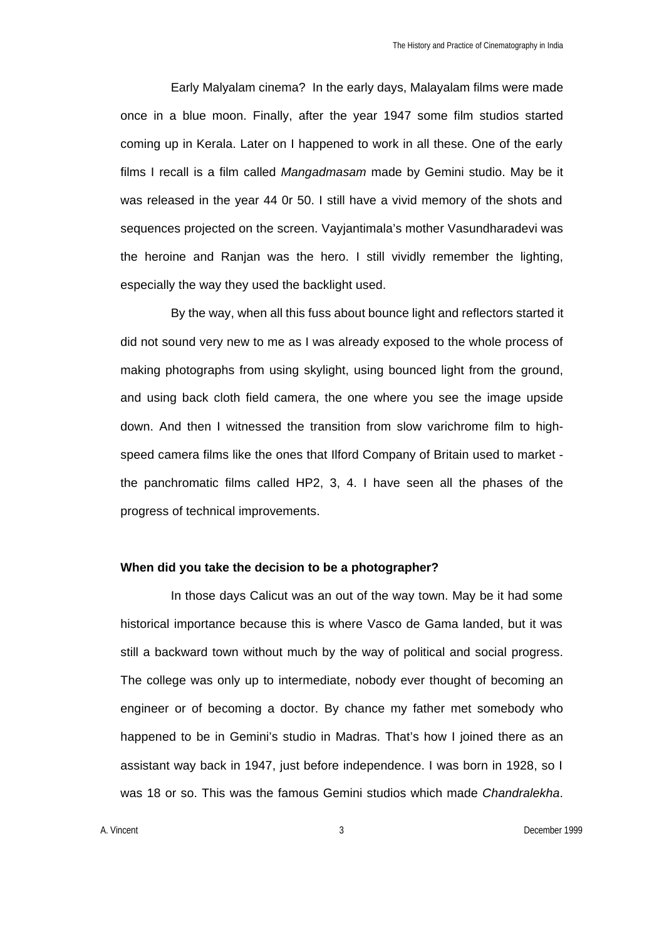Early Malyalam cinema? In the early days, Malayalam films were made once in a blue moon. Finally, after the year 1947 some film studios started coming up in Kerala. Later on I happened to work in all these. One of the early films I recall is a film called *Mangadmasam* made by Gemini studio. May be it was released in the year 44 0r 50. I still have a vivid memory of the shots and sequences projected on the screen. Vayjantimala's mother Vasundharadevi was the heroine and Ranjan was the hero. I still vividly remember the lighting, especially the way they used the backlight used.

By the way, when all this fuss about bounce light and reflectors started it did not sound very new to me as I was already exposed to the whole process of making photographs from using skylight, using bounced light from the ground, and using back cloth field camera, the one where you see the image upside down. And then I witnessed the transition from slow varichrome film to highspeed camera films like the ones that Ilford Company of Britain used to market the panchromatic films called HP2, 3, 4. I have seen all the phases of the progress of technical improvements.

## **When did you take the decision to be a photographer?**

In those days Calicut was an out of the way town. May be it had some historical importance because this is where Vasco de Gama landed, but it was still a backward town without much by the way of political and social progress. The college was only up to intermediate, nobody ever thought of becoming an engineer or of becoming a doctor. By chance my father met somebody who happened to be in Gemini's studio in Madras. That's how I joined there as an assistant way back in 1947, just before independence. I was born in 1928, so I was 18 or so. This was the famous Gemini studios which made *Chandralekha*.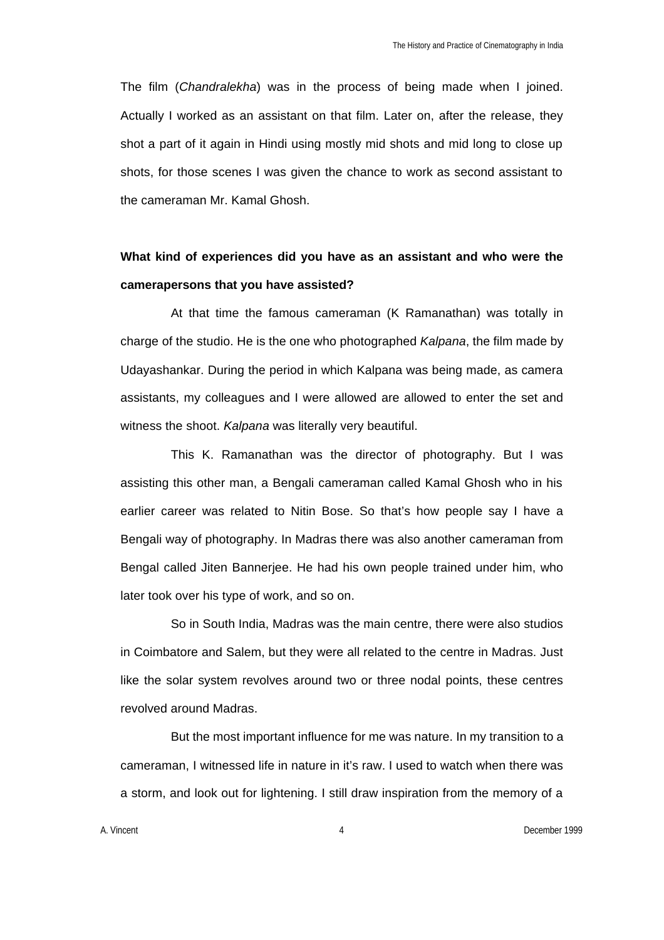The film (*Chandralekha*) was in the process of being made when I joined. Actually I worked as an assistant on that film. Later on, after the release, they shot a part of it again in Hindi using mostly mid shots and mid long to close up shots, for those scenes I was given the chance to work as second assistant to the cameraman Mr. Kamal Ghosh.

## **What kind of experiences did you have as an assistant and who were the camerapersons that you have assisted?**

At that time the famous cameraman (K Ramanathan) was totally in charge of the studio. He is the one who photographed *Kalpana*, the film made by Udayashankar. During the period in which Kalpana was being made, as camera assistants, my colleagues and I were allowed are allowed to enter the set and witness the shoot. *Kalpana* was literally very beautiful.

This K. Ramanathan was the director of photography. But I was assisting this other man, a Bengali cameraman called Kamal Ghosh who in his earlier career was related to Nitin Bose. So that's how people say I have a Bengali way of photography. In Madras there was also another cameraman from Bengal called Jiten Bannerjee. He had his own people trained under him, who later took over his type of work, and so on.

So in South India, Madras was the main centre, there were also studios in Coimbatore and Salem, but they were all related to the centre in Madras. Just like the solar system revolves around two or three nodal points, these centres revolved around Madras.

But the most important influence for me was nature. In my transition to a cameraman, I witnessed life in nature in it's raw. I used to watch when there was a storm, and look out for lightening. I still draw inspiration from the memory of a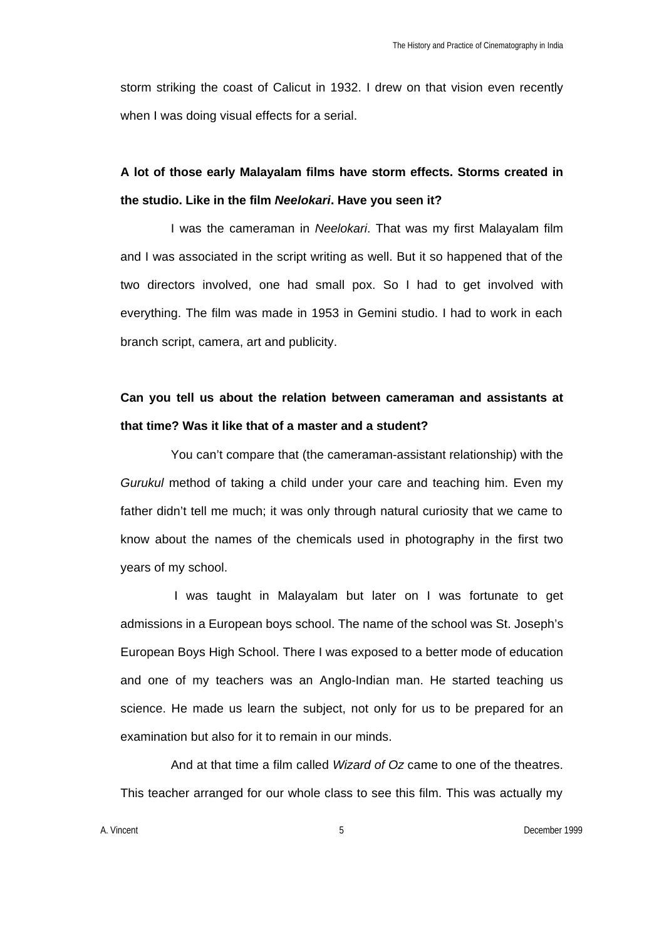storm striking the coast of Calicut in 1932. I drew on that vision even recently when I was doing visual effects for a serial.

## **A lot of those early Malayalam films have storm effects. Storms created in the studio. Like in the film** *Neelokari***. Have you seen it?**

I was the cameraman in *Neelokari*. That was my first Malayalam film and I was associated in the script writing as well. But it so happened that of the two directors involved, one had small pox. So I had to get involved with everything. The film was made in 1953 in Gemini studio. I had to work in each branch script, camera, art and publicity.

# **Can you tell us about the relation between cameraman and assistants at that time? Was it like that of a master and a student?**

You can't compare that (the cameraman-assistant relationship) with the *Gurukul* method of taking a child under your care and teaching him. Even my father didn't tell me much; it was only through natural curiosity that we came to know about the names of the chemicals used in photography in the first two years of my school.

 I was taught in Malayalam but later on I was fortunate to get admissions in a European boys school. The name of the school was St. Joseph's European Boys High School. There I was exposed to a better mode of education and one of my teachers was an Anglo-Indian man. He started teaching us science. He made us learn the subject, not only for us to be prepared for an examination but also for it to remain in our minds.

And at that time a film called *Wizard of Oz* came to one of the theatres. This teacher arranged for our whole class to see this film. This was actually my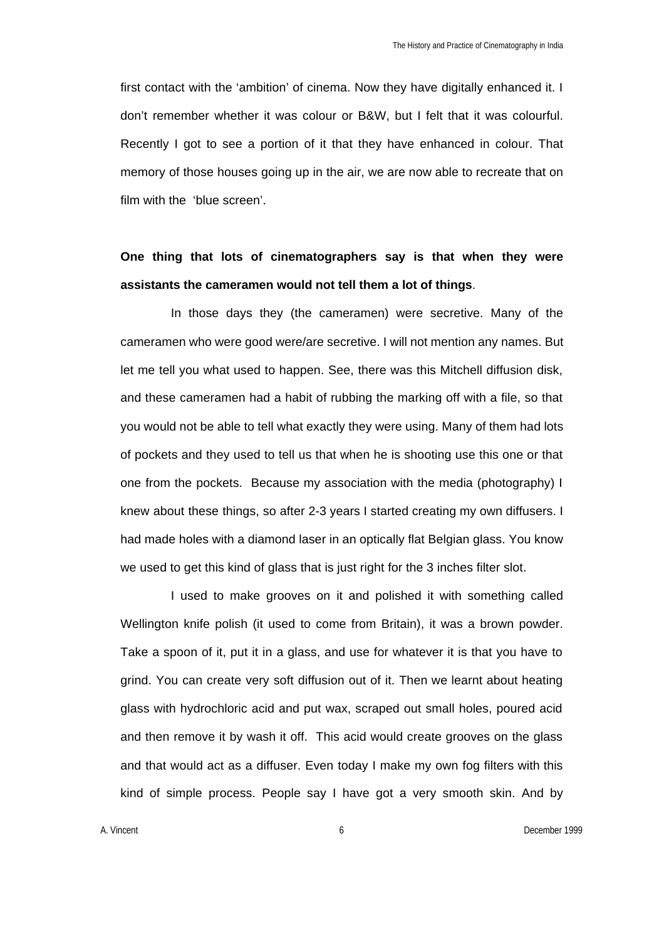first contact with the 'ambition' of cinema. Now they have digitally enhanced it. I don't remember whether it was colour or B&W, but I felt that it was colourful. Recently I got to see a portion of it that they have enhanced in colour. That memory of those houses going up in the air, we are now able to recreate that on film with the 'blue screen'.

## **One thing that lots of cinematographers say is that when they were assistants the cameramen would not tell them a lot of things**.

In those days they (the cameramen) were secretive. Many of the cameramen who were good were/are secretive. I will not mention any names. But let me tell you what used to happen. See, there was this Mitchell diffusion disk, and these cameramen had a habit of rubbing the marking off with a file, so that you would not be able to tell what exactly they were using. Many of them had lots of pockets and they used to tell us that when he is shooting use this one or that one from the pockets. Because my association with the media (photography) I knew about these things, so after 2-3 years I started creating my own diffusers. I had made holes with a diamond laser in an optically flat Belgian glass. You know we used to get this kind of glass that is just right for the 3 inches filter slot.

I used to make grooves on it and polished it with something called Wellington knife polish (it used to come from Britain), it was a brown powder. Take a spoon of it, put it in a glass, and use for whatever it is that you have to grind. You can create very soft diffusion out of it. Then we learnt about heating glass with hydrochloric acid and put wax, scraped out small holes, poured acid and then remove it by wash it off. This acid would create grooves on the glass and that would act as a diffuser. Even today I make my own fog filters with this kind of simple process. People say I have got a very smooth skin. And by

A. Vincent 6 December 1999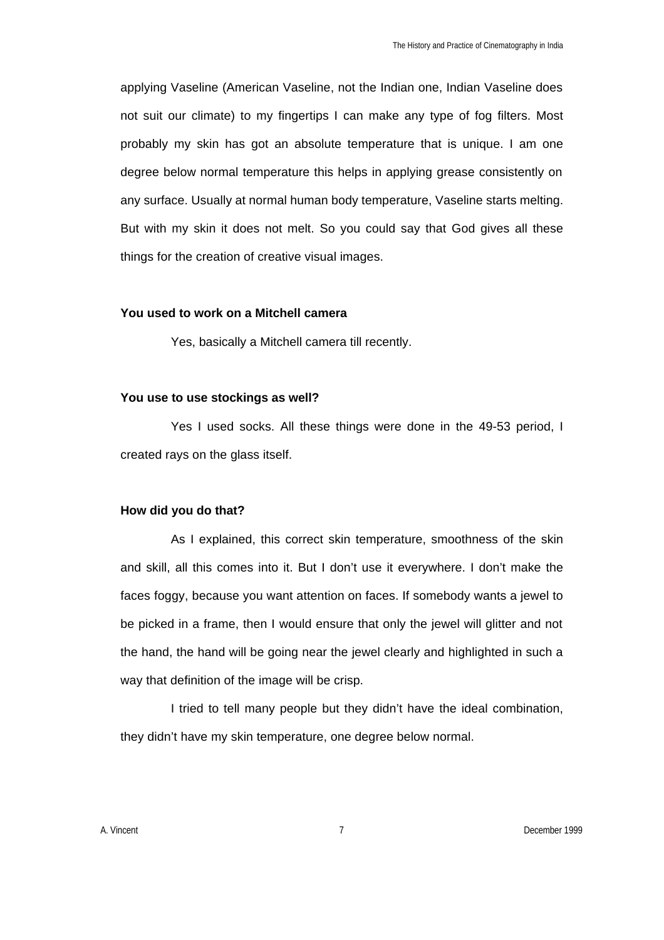applying Vaseline (American Vaseline, not the Indian one, Indian Vaseline does not suit our climate) to my fingertips I can make any type of fog filters. Most probably my skin has got an absolute temperature that is unique. I am one degree below normal temperature this helps in applying grease consistently on any surface. Usually at normal human body temperature, Vaseline starts melting. But with my skin it does not melt. So you could say that God gives all these things for the creation of creative visual images.

## **You used to work on a Mitchell camera**

Yes, basically a Mitchell camera till recently.

### **You use to use stockings as well?**

Yes I used socks. All these things were done in the 49-53 period, I created rays on the glass itself.

## **How did you do that?**

As I explained, this correct skin temperature, smoothness of the skin and skill, all this comes into it. But I don't use it everywhere. I don't make the faces foggy, because you want attention on faces. If somebody wants a jewel to be picked in a frame, then I would ensure that only the jewel will glitter and not the hand, the hand will be going near the jewel clearly and highlighted in such a way that definition of the image will be crisp.

I tried to tell many people but they didn't have the ideal combination, they didn't have my skin temperature, one degree below normal.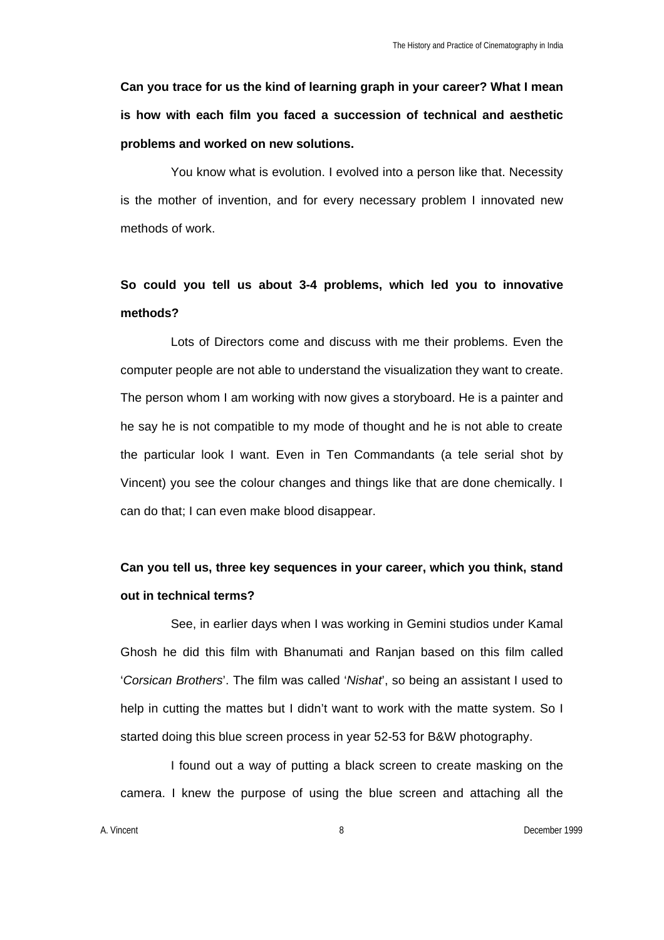**Can you trace for us the kind of learning graph in your career? What I mean is how with each film you faced a succession of technical and aesthetic problems and worked on new solutions.**

You know what is evolution. I evolved into a person like that. Necessity is the mother of invention, and for every necessary problem I innovated new methods of work.

# **So could you tell us about 3-4 problems, which led you to innovative methods?**

Lots of Directors come and discuss with me their problems. Even the computer people are not able to understand the visualization they want to create. The person whom I am working with now gives a storyboard. He is a painter and he say he is not compatible to my mode of thought and he is not able to create the particular look I want. Even in Ten Commandants (a tele serial shot by Vincent) you see the colour changes and things like that are done chemically. I can do that; I can even make blood disappear.

## **Can you tell us, three key sequences in your career, which you think, stand out in technical terms?**

See, in earlier days when I was working in Gemini studios under Kamal Ghosh he did this film with Bhanumati and Ranjan based on this film called '*Corsican Brothers*'. The film was called '*Nishat*', so being an assistant I used to help in cutting the mattes but I didn't want to work with the matte system. So I started doing this blue screen process in year 52-53 for B&W photography.

I found out a way of putting a black screen to create masking on the camera. I knew the purpose of using the blue screen and attaching all the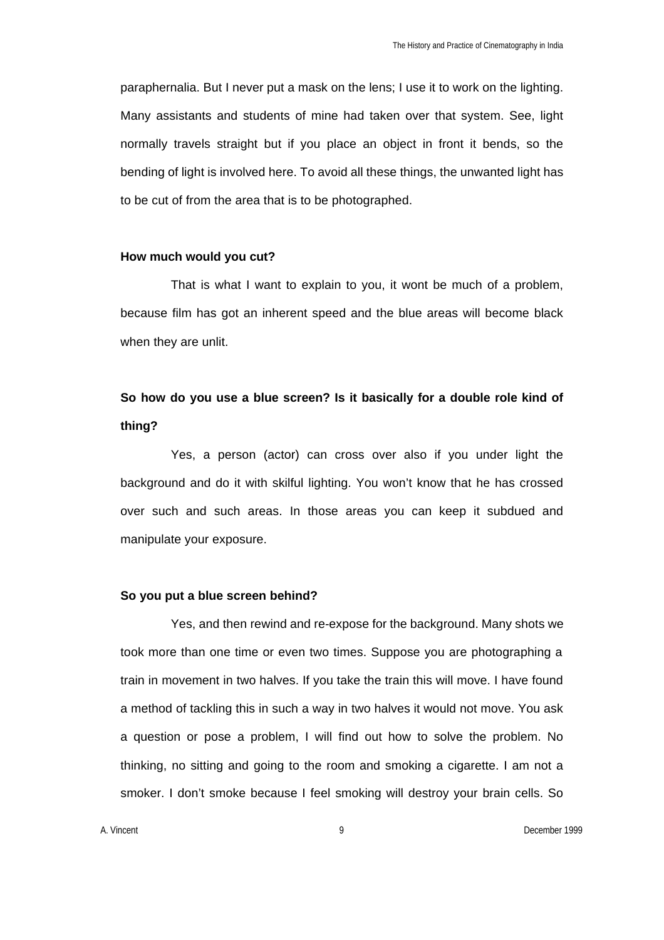paraphernalia. But I never put a mask on the lens; I use it to work on the lighting. Many assistants and students of mine had taken over that system. See, light normally travels straight but if you place an object in front it bends, so the bending of light is involved here. To avoid all these things, the unwanted light has to be cut of from the area that is to be photographed.

### **How much would you cut?**

That is what I want to explain to you, it wont be much of a problem, because film has got an inherent speed and the blue areas will become black when they are unlit.

## **So how do you use a blue screen? Is it basically for a double role kind of thing?**

Yes, a person (actor) can cross over also if you under light the background and do it with skilful lighting. You won't know that he has crossed over such and such areas. In those areas you can keep it subdued and manipulate your exposure.

#### **So you put a blue screen behind?**

Yes, and then rewind and re-expose for the background. Many shots we took more than one time or even two times. Suppose you are photographing a train in movement in two halves. If you take the train this will move. I have found a method of tackling this in such a way in two halves it would not move. You ask a question or pose a problem, I will find out how to solve the problem. No thinking, no sitting and going to the room and smoking a cigarette. I am not a smoker. I don't smoke because I feel smoking will destroy your brain cells. So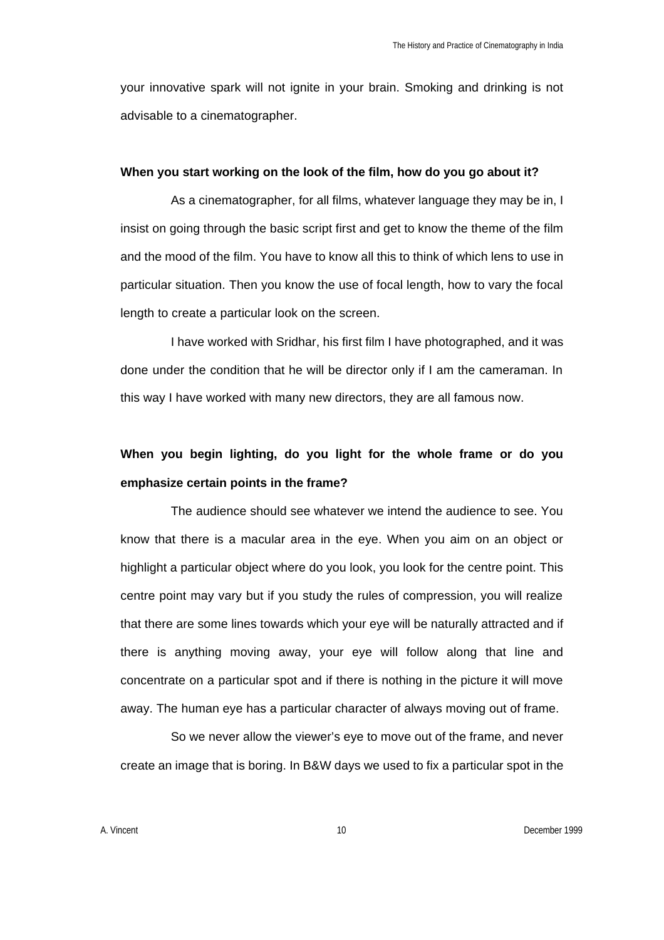your innovative spark will not ignite in your brain. Smoking and drinking is not advisable to a cinematographer.

#### **When you start working on the look of the film, how do you go about it?**

As a cinematographer, for all films, whatever language they may be in, I insist on going through the basic script first and get to know the theme of the film and the mood of the film. You have to know all this to think of which lens to use in particular situation. Then you know the use of focal length, how to vary the focal length to create a particular look on the screen.

I have worked with Sridhar, his first film I have photographed, and it was done under the condition that he will be director only if I am the cameraman. In this way I have worked with many new directors, they are all famous now.

## **When you begin lighting, do you light for the whole frame or do you emphasize certain points in the frame?**

The audience should see whatever we intend the audience to see. You know that there is a macular area in the eye. When you aim on an object or highlight a particular object where do you look, you look for the centre point. This centre point may vary but if you study the rules of compression, you will realize that there are some lines towards which your eye will be naturally attracted and if there is anything moving away, your eye will follow along that line and concentrate on a particular spot and if there is nothing in the picture it will move away. The human eye has a particular character of always moving out of frame.

So we never allow the viewer's eye to move out of the frame, and never create an image that is boring. In B&W days we used to fix a particular spot in the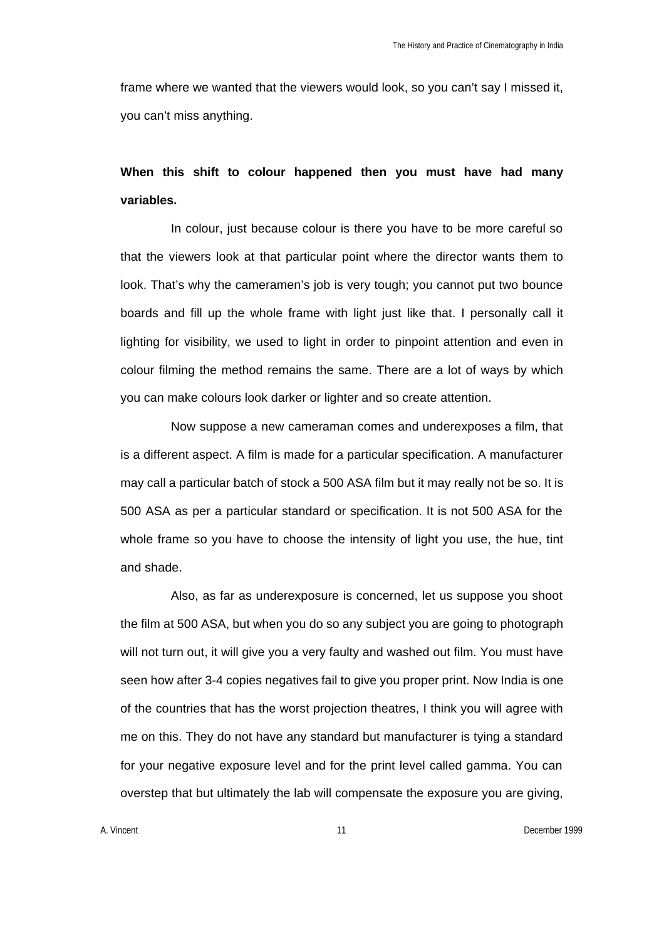frame where we wanted that the viewers would look, so you can't say I missed it, you can't miss anything.

## **When this shift to colour happened then you must have had many variables.**

In colour, just because colour is there you have to be more careful so that the viewers look at that particular point where the director wants them to look. That's why the cameramen's job is very tough; you cannot put two bounce boards and fill up the whole frame with light just like that. I personally call it lighting for visibility, we used to light in order to pinpoint attention and even in colour filming the method remains the same. There are a lot of ways by which you can make colours look darker or lighter and so create attention.

Now suppose a new cameraman comes and underexposes a film, that is a different aspect. A film is made for a particular specification. A manufacturer may call a particular batch of stock a 500 ASA film but it may really not be so. It is 500 ASA as per a particular standard or specification. It is not 500 ASA for the whole frame so you have to choose the intensity of light you use, the hue, tint and shade.

Also, as far as underexposure is concerned, let us suppose you shoot the film at 500 ASA, but when you do so any subject you are going to photograph will not turn out, it will give you a very faulty and washed out film. You must have seen how after 3-4 copies negatives fail to give you proper print. Now India is one of the countries that has the worst projection theatres, I think you will agree with me on this. They do not have any standard but manufacturer is tying a standard for your negative exposure level and for the print level called gamma. You can overstep that but ultimately the lab will compensate the exposure you are giving,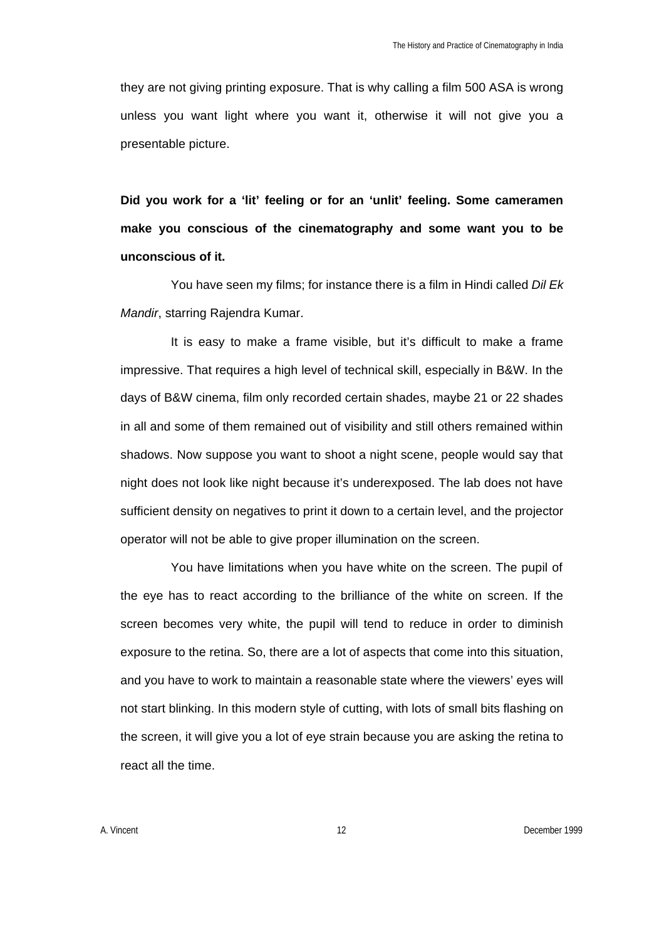they are not giving printing exposure. That is why calling a film 500 ASA is wrong unless you want light where you want it, otherwise it will not give you a presentable picture.

**Did you work for a 'lit' feeling or for an 'unlit' feeling. Some cameramen make you conscious of the cinematography and some want you to be unconscious of it.**

You have seen my films; for instance there is a film in Hindi called *Dil Ek Mandir*, starring Rajendra Kumar.

It is easy to make a frame visible, but it's difficult to make a frame impressive. That requires a high level of technical skill, especially in B&W. In the days of B&W cinema, film only recorded certain shades, maybe 21 or 22 shades in all and some of them remained out of visibility and still others remained within shadows. Now suppose you want to shoot a night scene, people would say that night does not look like night because it's underexposed. The lab does not have sufficient density on negatives to print it down to a certain level, and the projector operator will not be able to give proper illumination on the screen.

You have limitations when you have white on the screen. The pupil of the eye has to react according to the brilliance of the white on screen. If the screen becomes very white, the pupil will tend to reduce in order to diminish exposure to the retina. So, there are a lot of aspects that come into this situation, and you have to work to maintain a reasonable state where the viewers' eyes will not start blinking. In this modern style of cutting, with lots of small bits flashing on the screen, it will give you a lot of eye strain because you are asking the retina to react all the time.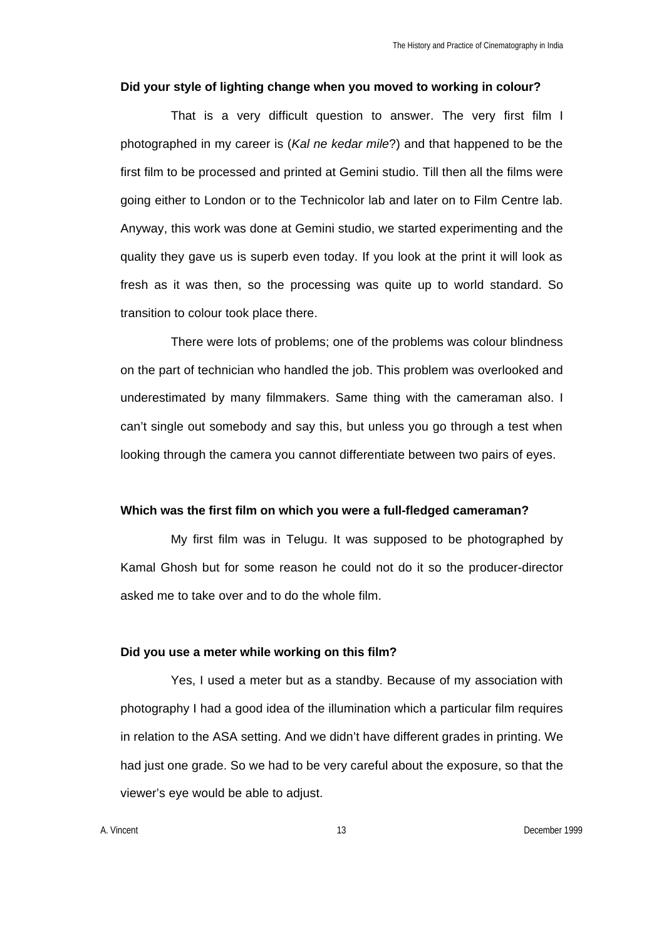#### **Did your style of lighting change when you moved to working in colour?**

That is a very difficult question to answer. The very first film I photographed in my career is (*Kal ne kedar mile*?) and that happened to be the first film to be processed and printed at Gemini studio. Till then all the films were going either to London or to the Technicolor lab and later on to Film Centre lab. Anyway, this work was done at Gemini studio, we started experimenting and the quality they gave us is superb even today. If you look at the print it will look as fresh as it was then, so the processing was quite up to world standard. So transition to colour took place there.

There were lots of problems; one of the problems was colour blindness on the part of technician who handled the job. This problem was overlooked and underestimated by many filmmakers. Same thing with the cameraman also. I can't single out somebody and say this, but unless you go through a test when looking through the camera you cannot differentiate between two pairs of eyes.

#### **Which was the first film on which you were a full-fledged cameraman?**

My first film was in Telugu. It was supposed to be photographed by Kamal Ghosh but for some reason he could not do it so the producer-director asked me to take over and to do the whole film.

### **Did you use a meter while working on this film?**

Yes, I used a meter but as a standby. Because of my association with photography I had a good idea of the illumination which a particular film requires in relation to the ASA setting. And we didn't have different grades in printing. We had just one grade. So we had to be very careful about the exposure, so that the viewer's eye would be able to adjust.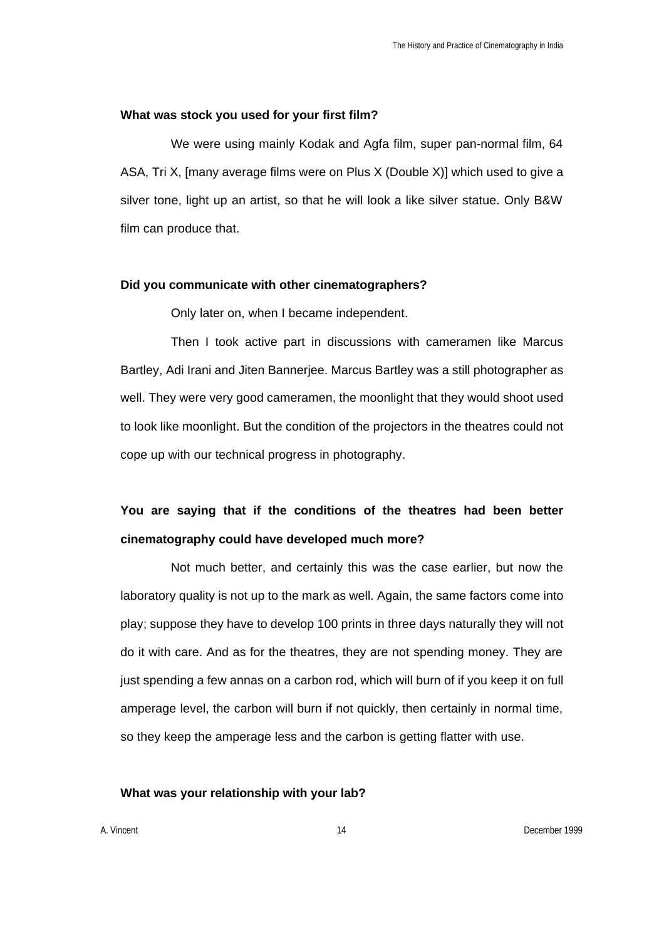## **What was stock you used for your first film?**

We were using mainly Kodak and Agfa film, super pan-normal film, 64 ASA, Tri X, [many average films were on Plus X (Double X)] which used to give a silver tone, light up an artist, so that he will look a like silver statue. Only B&W film can produce that.

#### **Did you communicate with other cinematographers?**

Only later on, when I became independent.

Then I took active part in discussions with cameramen like Marcus Bartley, Adi Irani and Jiten Bannerjee. Marcus Bartley was a still photographer as well. They were very good cameramen, the moonlight that they would shoot used to look like moonlight. But the condition of the projectors in the theatres could not cope up with our technical progress in photography.

# **You are saying that if the conditions of the theatres had been better cinematography could have developed much more?**

Not much better, and certainly this was the case earlier, but now the laboratory quality is not up to the mark as well. Again, the same factors come into play; suppose they have to develop 100 prints in three days naturally they will not do it with care. And as for the theatres, they are not spending money. They are just spending a few annas on a carbon rod, which will burn of if you keep it on full amperage level, the carbon will burn if not quickly, then certainly in normal time, so they keep the amperage less and the carbon is getting flatter with use.

## **What was your relationship with your lab?**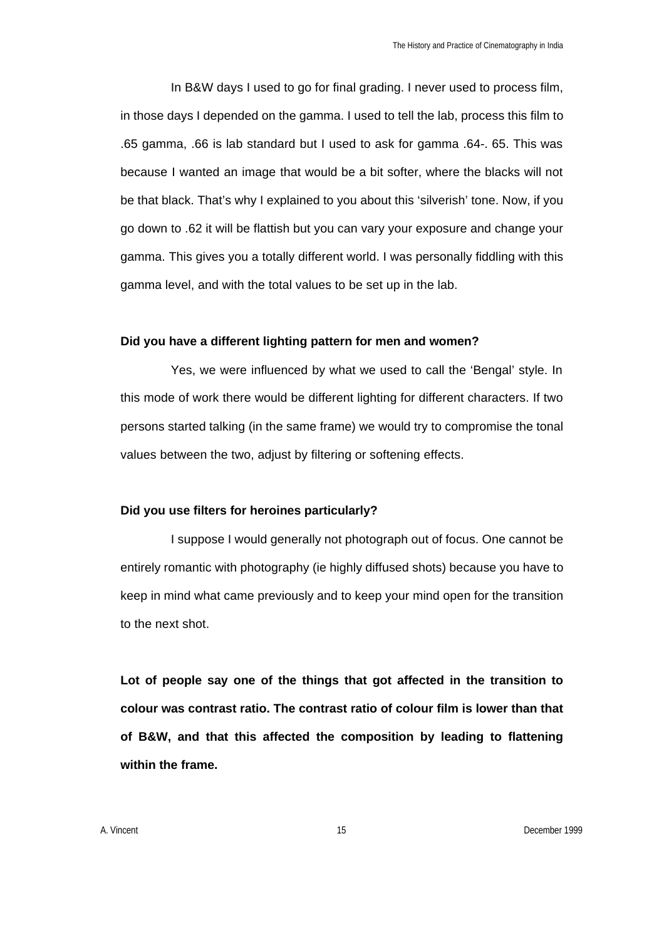In B&W days I used to go for final grading. I never used to process film, in those days I depended on the gamma. I used to tell the lab, process this film to .65 gamma, .66 is lab standard but I used to ask for gamma .64-. 65. This was because I wanted an image that would be a bit softer, where the blacks will not be that black. That's why I explained to you about this 'silverish' tone. Now, if you go down to .62 it will be flattish but you can vary your exposure and change your gamma. This gives you a totally different world. I was personally fiddling with this gamma level, and with the total values to be set up in the lab.

#### **Did you have a different lighting pattern for men and women?**

Yes, we were influenced by what we used to call the 'Bengal' style. In this mode of work there would be different lighting for different characters. If two persons started talking (in the same frame) we would try to compromise the tonal values between the two, adjust by filtering or softening effects.

#### **Did you use filters for heroines particularly?**

I suppose I would generally not photograph out of focus. One cannot be entirely romantic with photography (ie highly diffused shots) because you have to keep in mind what came previously and to keep your mind open for the transition to the next shot.

**Lot of people say one of the things that got affected in the transition to colour was contrast ratio. The contrast ratio of colour film is lower than that of B&W, and that this affected the composition by leading to flattening within the frame.**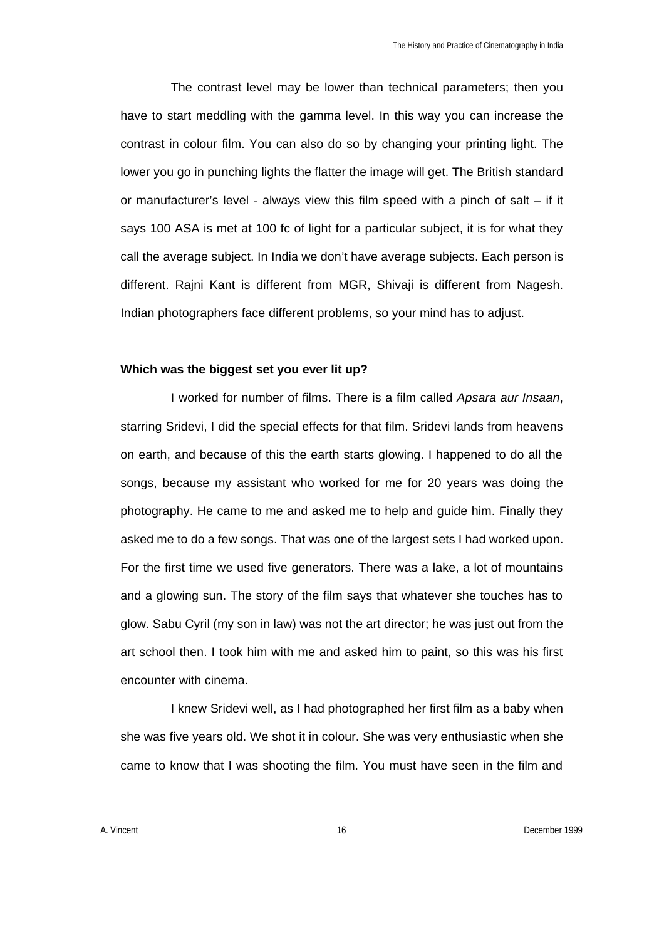The contrast level may be lower than technical parameters; then you have to start meddling with the gamma level. In this way you can increase the contrast in colour film. You can also do so by changing your printing light. The lower you go in punching lights the flatter the image will get. The British standard or manufacturer's level - always view this film speed with a pinch of salt  $-$  if it says 100 ASA is met at 100 fc of light for a particular subject, it is for what they call the average subject. In India we don't have average subjects. Each person is different. Rajni Kant is different from MGR, Shivaji is different from Nagesh. Indian photographers face different problems, so your mind has to adjust.

#### **Which was the biggest set you ever lit up?**

I worked for number of films. There is a film called *Apsara aur Insaan*, starring Sridevi, I did the special effects for that film. Sridevi lands from heavens on earth, and because of this the earth starts glowing. I happened to do all the songs, because my assistant who worked for me for 20 years was doing the photography. He came to me and asked me to help and guide him. Finally they asked me to do a few songs. That was one of the largest sets I had worked upon. For the first time we used five generators. There was a lake, a lot of mountains and a glowing sun. The story of the film says that whatever she touches has to glow. Sabu Cyril (my son in law) was not the art director; he was just out from the art school then. I took him with me and asked him to paint, so this was his first encounter with cinema.

I knew Sridevi well, as I had photographed her first film as a baby when she was five years old. We shot it in colour. She was very enthusiastic when she came to know that I was shooting the film. You must have seen in the film and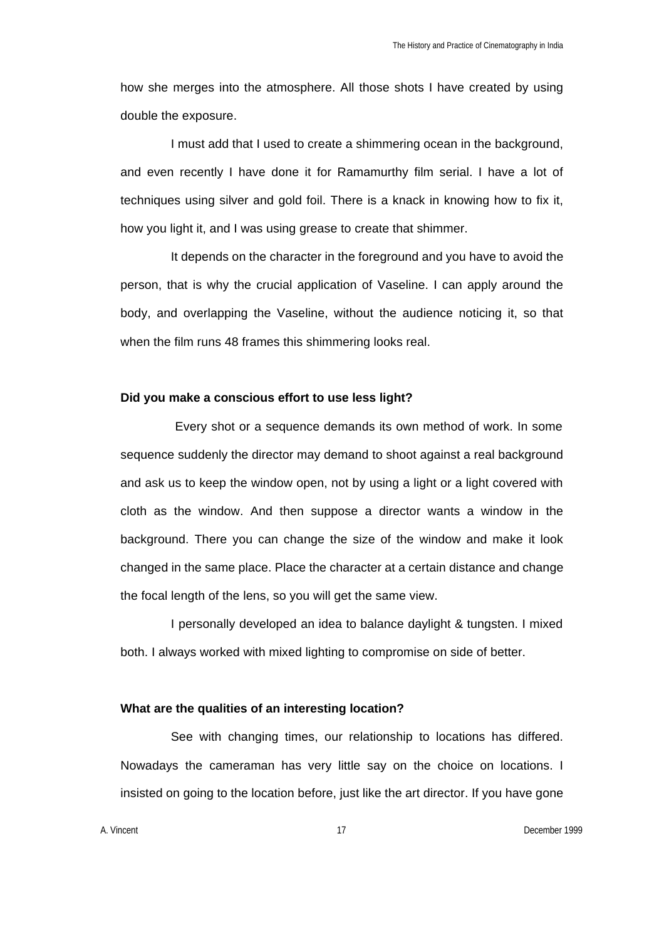how she merges into the atmosphere. All those shots I have created by using double the exposure.

I must add that I used to create a shimmering ocean in the background, and even recently I have done it for Ramamurthy film serial. I have a lot of techniques using silver and gold foil. There is a knack in knowing how to fix it, how you light it, and I was using grease to create that shimmer.

It depends on the character in the foreground and you have to avoid the person, that is why the crucial application of Vaseline. I can apply around the body, and overlapping the Vaseline, without the audience noticing it, so that when the film runs 48 frames this shimmering looks real.

### **Did you make a conscious effort to use less light?**

 Every shot or a sequence demands its own method of work. In some sequence suddenly the director may demand to shoot against a real background and ask us to keep the window open, not by using a light or a light covered with cloth as the window. And then suppose a director wants a window in the background. There you can change the size of the window and make it look changed in the same place. Place the character at a certain distance and change the focal length of the lens, so you will get the same view.

I personally developed an idea to balance daylight & tungsten. I mixed both. I always worked with mixed lighting to compromise on side of better.

### **What are the qualities of an interesting location?**

See with changing times, our relationship to locations has differed. Nowadays the cameraman has very little say on the choice on locations. I insisted on going to the location before, just like the art director. If you have gone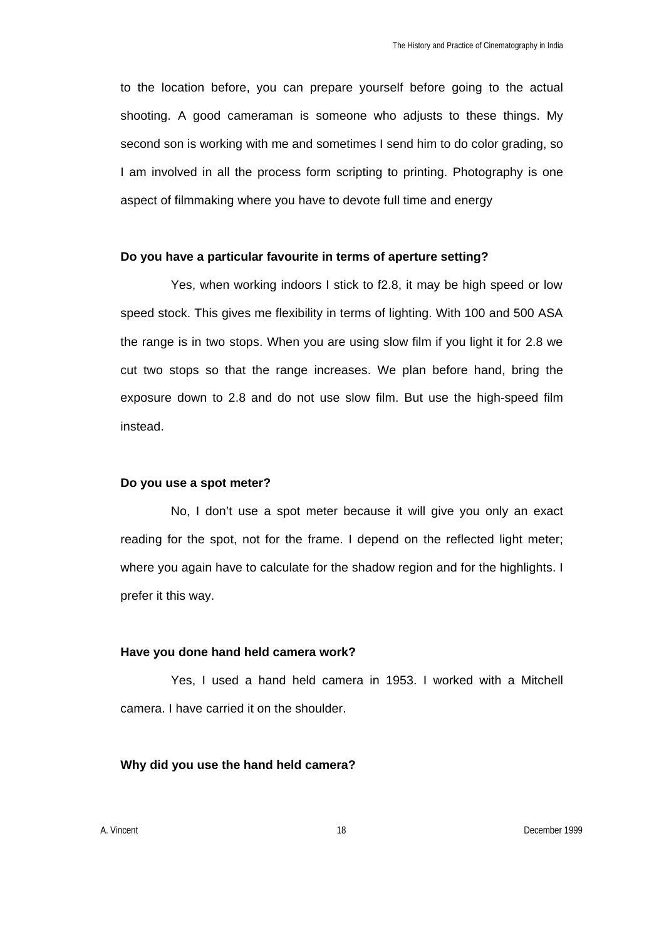to the location before, you can prepare yourself before going to the actual shooting. A good cameraman is someone who adjusts to these things. My second son is working with me and sometimes I send him to do color grading, so I am involved in all the process form scripting to printing. Photography is one aspect of filmmaking where you have to devote full time and energy

### **Do you have a particular favourite in terms of aperture setting?**

Yes, when working indoors I stick to f2.8, it may be high speed or low speed stock. This gives me flexibility in terms of lighting. With 100 and 500 ASA the range is in two stops. When you are using slow film if you light it for 2.8 we cut two stops so that the range increases. We plan before hand, bring the exposure down to 2.8 and do not use slow film. But use the high-speed film instead.

## **Do you use a spot meter?**

No, I don't use a spot meter because it will give you only an exact reading for the spot, not for the frame. I depend on the reflected light meter; where you again have to calculate for the shadow region and for the highlights. I prefer it this way.

#### **Have you done hand held camera work?**

Yes, I used a hand held camera in 1953. I worked with a Mitchell camera. I have carried it on the shoulder.

### **Why did you use the hand held camera?**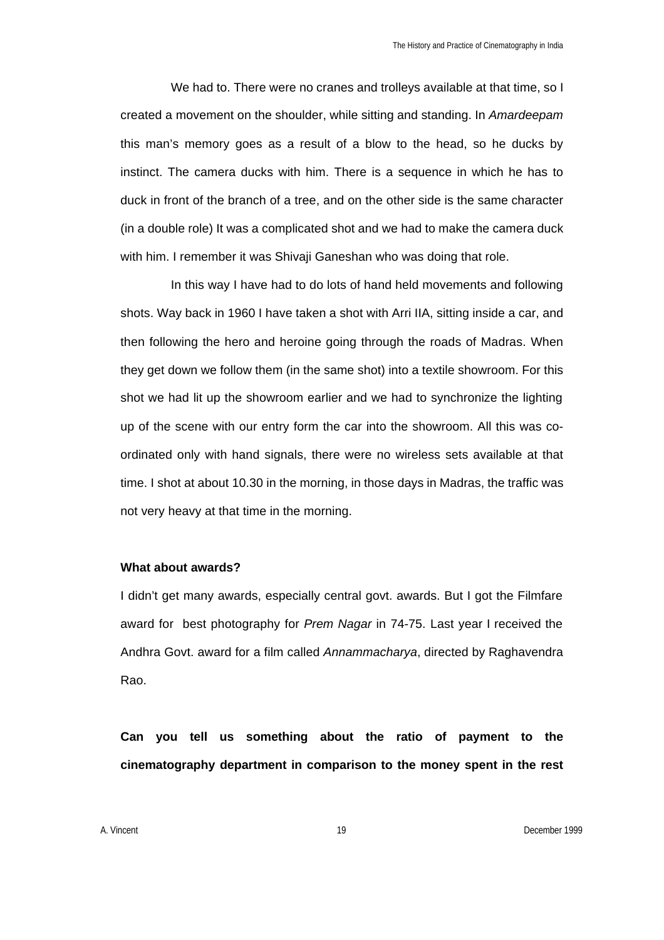We had to. There were no cranes and trolleys available at that time, so I created a movement on the shoulder, while sitting and standing. In *Amardeepam* this man's memory goes as a result of a blow to the head, so he ducks by instinct. The camera ducks with him. There is a sequence in which he has to duck in front of the branch of a tree, and on the other side is the same character (in a double role) It was a complicated shot and we had to make the camera duck with him. I remember it was Shivaji Ganeshan who was doing that role.

In this way I have had to do lots of hand held movements and following shots. Way back in 1960 I have taken a shot with Arri IIA, sitting inside a car, and then following the hero and heroine going through the roads of Madras. When they get down we follow them (in the same shot) into a textile showroom. For this shot we had lit up the showroom earlier and we had to synchronize the lighting up of the scene with our entry form the car into the showroom. All this was coordinated only with hand signals, there were no wireless sets available at that time. I shot at about 10.30 in the morning, in those days in Madras, the traffic was not very heavy at that time in the morning.

## **What about awards?**

I didn't get many awards, especially central govt. awards. But I got the Filmfare award for best photography for *Prem Nagar* in 74-75. Last year I received the Andhra Govt. award for a film called *Annammacharya*, directed by Raghavendra Rao.

**Can you tell us something about the ratio of payment to the cinematography department in comparison to the money spent in the rest**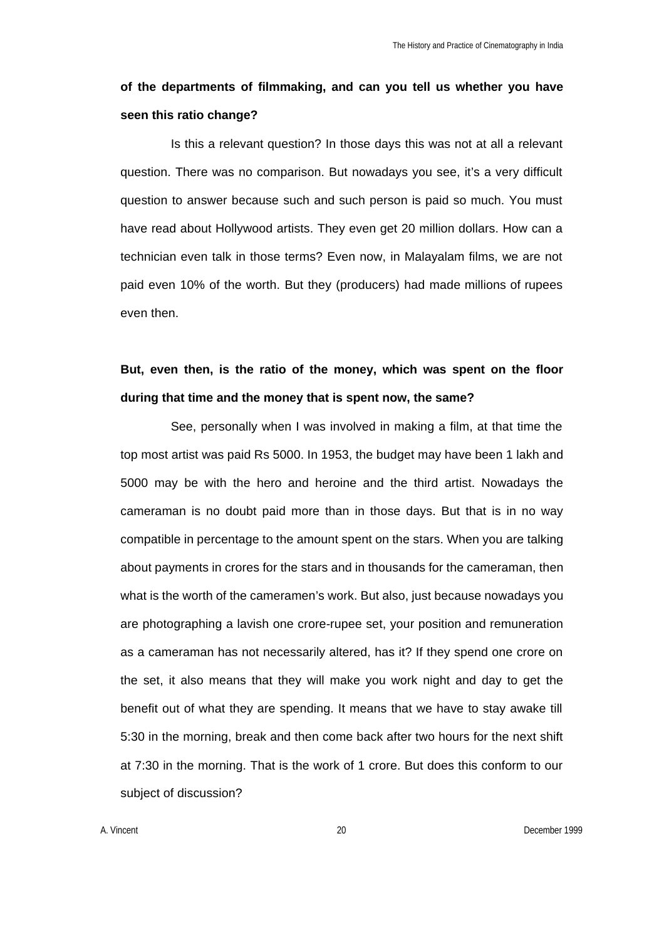## **of the departments of filmmaking, and can you tell us whether you have seen this ratio change?**

Is this a relevant question? In those days this was not at all a relevant question. There was no comparison. But nowadays you see, it's a very difficult question to answer because such and such person is paid so much. You must have read about Hollywood artists. They even get 20 million dollars. How can a technician even talk in those terms? Even now, in Malayalam films, we are not paid even 10% of the worth. But they (producers) had made millions of rupees even then.

## **But, even then, is the ratio of the money, which was spent on the floor during that time and the money that is spent now, the same?**

See, personally when I was involved in making a film, at that time the top most artist was paid Rs 5000. In 1953, the budget may have been 1 lakh and 5000 may be with the hero and heroine and the third artist. Nowadays the cameraman is no doubt paid more than in those days. But that is in no way compatible in percentage to the amount spent on the stars. When you are talking about payments in crores for the stars and in thousands for the cameraman, then what is the worth of the cameramen's work. But also, just because nowadays you are photographing a lavish one crore-rupee set, your position and remuneration as a cameraman has not necessarily altered, has it? If they spend one crore on the set, it also means that they will make you work night and day to get the benefit out of what they are spending. It means that we have to stay awake till 5:30 in the morning, break and then come back after two hours for the next shift at 7:30 in the morning. That is the work of 1 crore. But does this conform to our subject of discussion?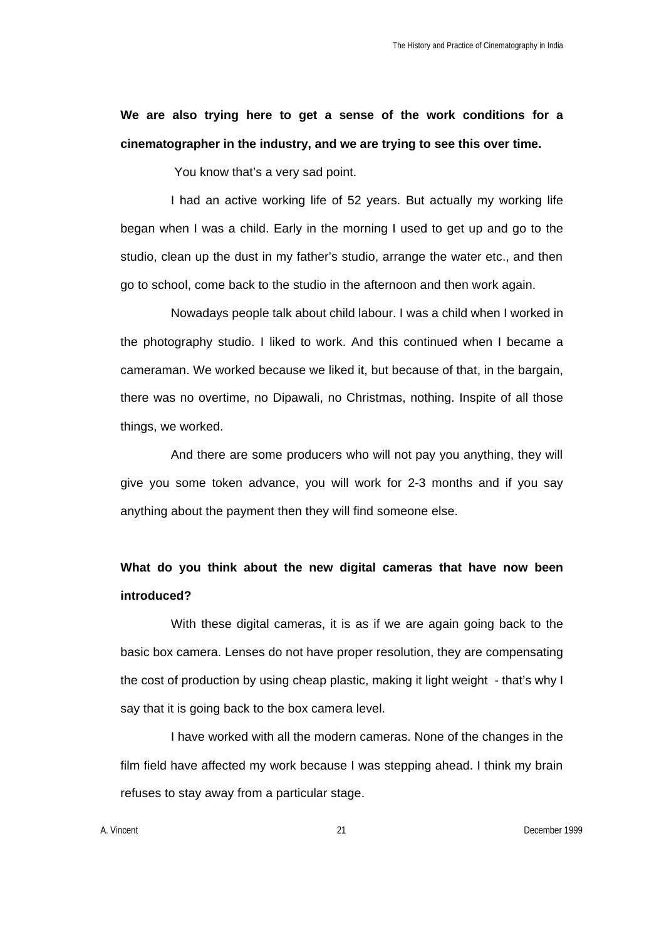**We are also trying here to get a sense of the work conditions for a cinematographer in the industry, and we are trying to see this over time.**

You know that's a very sad point.

I had an active working life of 52 years. But actually my working life began when I was a child. Early in the morning I used to get up and go to the studio, clean up the dust in my father's studio, arrange the water etc., and then go to school, come back to the studio in the afternoon and then work again.

Nowadays people talk about child labour. I was a child when I worked in the photography studio. I liked to work. And this continued when I became a cameraman. We worked because we liked it, but because of that, in the bargain, there was no overtime, no Dipawali, no Christmas, nothing. Inspite of all those things, we worked.

And there are some producers who will not pay you anything, they will give you some token advance, you will work for 2-3 months and if you say anything about the payment then they will find someone else.

## **What do you think about the new digital cameras that have now been introduced?**

With these digital cameras, it is as if we are again going back to the basic box camera. Lenses do not have proper resolution, they are compensating the cost of production by using cheap plastic, making it light weight - that's why I say that it is going back to the box camera level.

I have worked with all the modern cameras. None of the changes in the film field have affected my work because I was stepping ahead. I think my brain refuses to stay away from a particular stage.